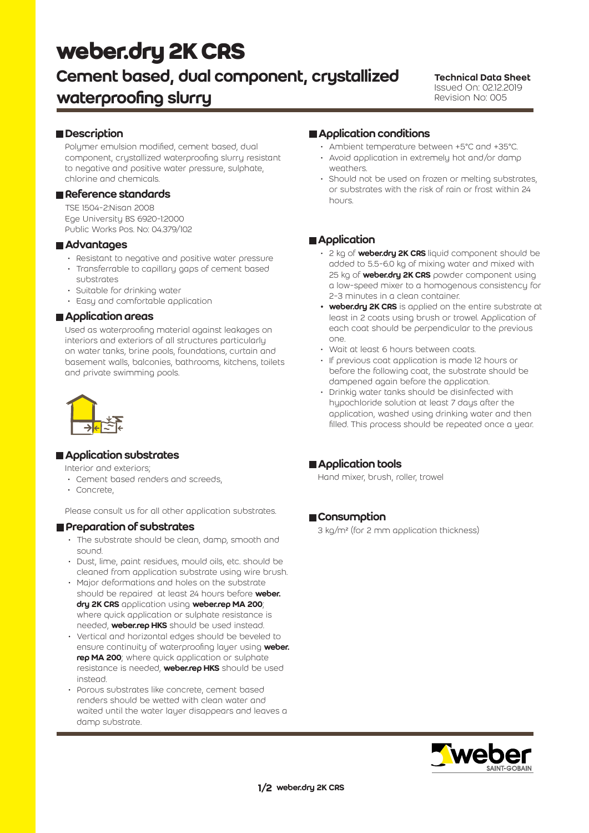# **weber.dry 2K CRS**

# Cement based, dual component, crystallized waterproofing slurry

#### Technical Data Sheet Issued On: 02.12.2019 Revision No: 005

#### **Description**

Polymer emulsion modified, cement based, dual component, crystallized waterproofing slurry resistant to negative and positive water pressure, sulphate, chlorine and chemicals.

#### Reference standards

TSE 1504-2:Nisan 2008 Ege University BS 6920-1:2000 Public Works Pos. No: 04.379/102

#### **Advantages**

- Resistant to negative and positive water pressure
- Transferrable to capillary gaps of cement based
- substrates
- Suitable for drinking water
- Easy and comfortable application

#### **Application areas**

Used as waterproofing material against leakages on interiors and exteriors of all structures particularly on water tanks, brine pools, foundations, curtain and basement walls, balconies, bathrooms, kitchens, toilets and private swimming pools.



## **Application substrates**

Interior and exteriors;

- Cement based renders and screeds,
- Concrete,

Please consult us for all other application substrates.

#### **Preparation of substrates**

- The substrate should be clean, damp, smooth and sound.
- Dust, lime, paint residues, mould oils, etc. should be cleaned from application substrate using wire brush.
- Major deformations and holes on the substrate should be repaired at least 24 hours before weber. dry 2K CRS application using weber.rep MA 200; where quick application or sulphate resistance is needed, **weber.rep HKS** should be used instead.
- Vertical and horizontal edges should be beveled to ensure continuity of waterproofing layer using weber. rep MA 200; where quick application or sulphate resistance is needed, **weber.rep HKS** should be used instead.
- Porous substrates like concrete, cement based renders should be wetted with clean water and waited until the water layer disappears and leaves a damp substrate.

#### **Application conditions**

- Ambient temperature between +5°C and +35°C.
- Avoid application in extremely hot and/or damp weathers.
- Should not be used on frozen or melting substrates. or substrates with the risk of rain or frost within 24 hours.

#### **Application**

- 2 kg of weber.dry 2K CRS liquid component should be added to 5.5-6.0 kg of mixing water and mixed with 25 kg of **weber.dry 2K CRS** powder component using a low-speed mixer to a homogenous consistency for 2-3 minutes in a clean container.
- weber.dry 2K CRS is applied on the entire substrate at least in 2 coats using brush or trowel. Application of each coat should be perpendicular to the previous one.
- Wait at least 6 hours between coats.
- If previous coat application is made 12 hours or before the following coat, the substrate should be dampened again before the application.
- Drinkig water tanks should be disinfected with hypochloride solution at least 7 days after the application, washed using drinking water and then filled. This process should be repeated once a year.

#### Application tools

Hand mixer, brush, roller, trowel

#### Consumption

3 kg/m² (for 2 mm application thickness)